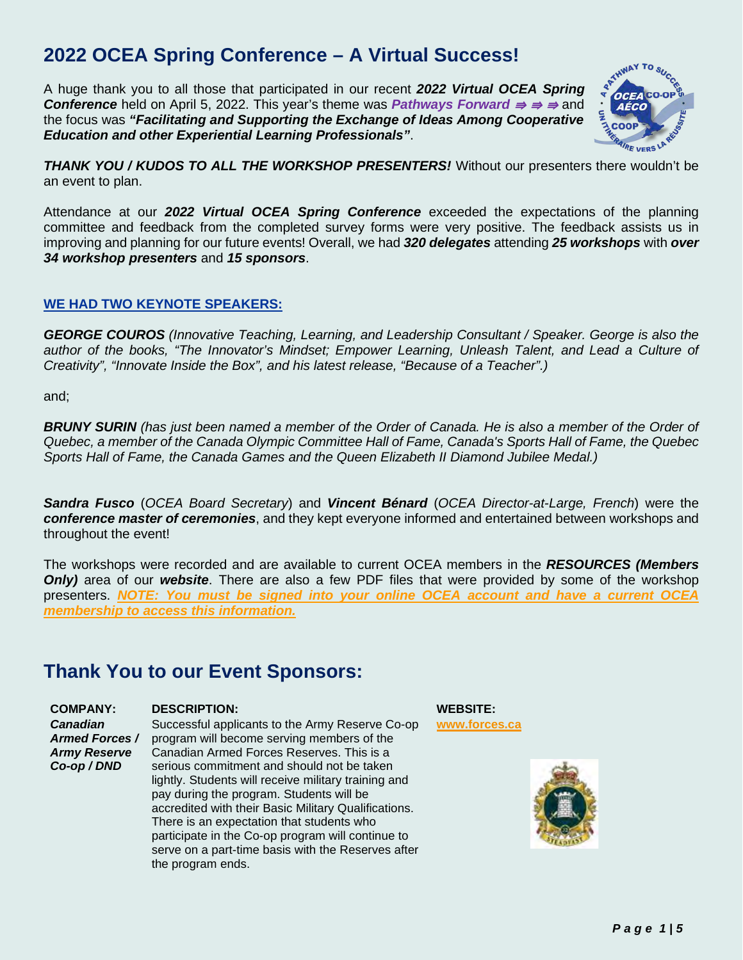# **2022 OCEA Spring Conference – A Virtual Success!**

A huge thank you to all those that participated in our recent *2022 Virtual OCEA Spring*  **Conference** held on April 5, 2022. This year's theme was **Pathways Forward**  $\Rightarrow$  ⇒ and the focus was *"Facilitating and Supporting the Exchange of Ideas Among Cooperative Education and other Experiential Learning Professionals"*.



*THANK YOU / KUDOS TO ALL THE WORKSHOP PRESENTERS!* Without our presenters there wouldn't be an event to plan.

Attendance at our *2022 Virtual OCEA Spring Conference* exceeded the expectations of the planning committee and feedback from the completed survey forms were very positive. The feedback assists us in improving and planning for our future events! Overall, we had *320 delegates* attending *25 workshops* with *over 34 workshop presenters* and *15 sponsors*.

## **WE HAD TWO KEYNOTE SPEAKERS:**

*GEORGE COUROS (Innovative Teaching, Learning, and Leadership Consultant / Speaker. George is also the author of the books, "The Innovator's Mindset; Empower Learning, Unleash Talent, and Lead a Culture of Creativity", "Innovate Inside the Box", and his latest release, "Because of a Teacher".)*

and;

*BRUNY SURIN (has just been named a member of the Order of Canada. He is also a member of the Order of Quebec, a member of the Canada Olympic Committee Hall of Fame, Canada's Sports Hall of Fame, the Quebec Sports Hall of Fame, the Canada Games and the Queen Elizabeth II Diamond Jubilee Medal.)*

*Sandra Fusco* (*OCEA Board Secretary*) and *Vincent Bénard* (*OCEA Director-at-Large, French*) were the *conference master of ceremonies*, and they kept everyone informed and entertained between workshops and throughout the event!

The workshops were recorded and are available to current OCEA members in the *RESOURCES (Members*  **Only)** area of our **website**. There are also a few PDF files that were provided by some of the workshop presenters. *[NOTE: You must be signed into your online OCEA account and have a current OCEA](https://ocea.on.ca/account/login/)  [membership to access this information.](https://ocea.on.ca/account/login/)*

## **Thank You to our Event Sponsors:**

*Canadian Armed Forces / Army Reserve Co-op / DND*

#### **COMPANY: DESCRIPTION: WEBSITE:**

Successful applicants to the Army Reserve Co-op program will become serving members of the Canadian Armed Forces Reserves. This is a serious commitment and should not be taken lightly. Students will receive military training and pay during the program. Students will be accredited with their Basic Military Qualifications. There is an expectation that students who participate in the Co-op program will continue to serve on a part-time basis with the Reserves after the program ends.

**[www.forces.ca](http://www.forces.ca/)**

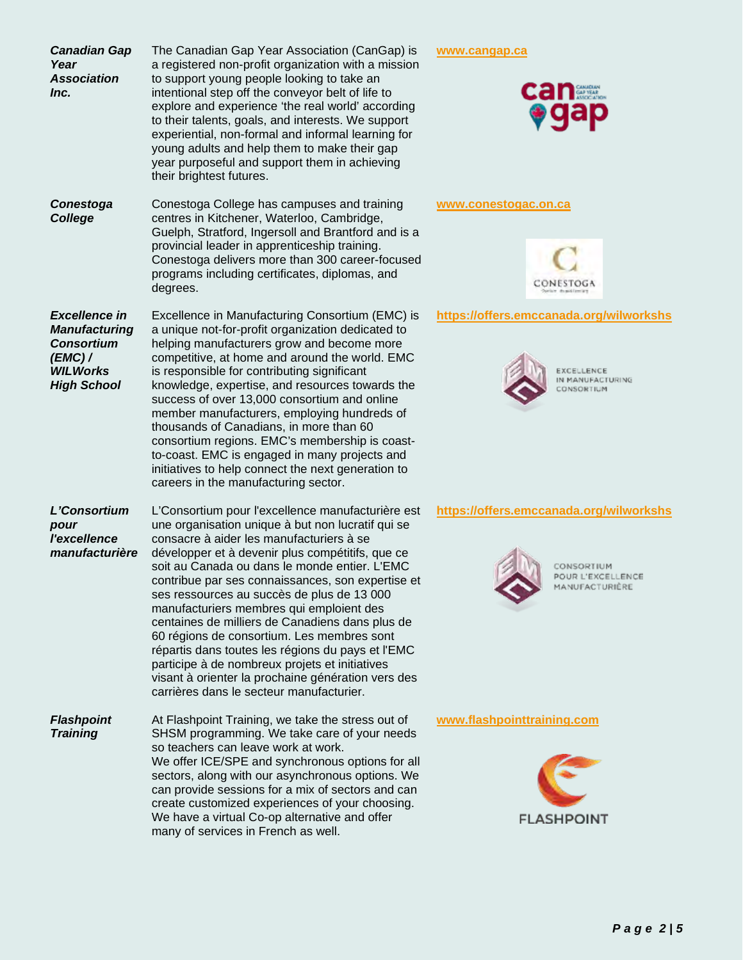| <b>Canadian Gap</b><br>Year<br><b>Association</b><br>Inc.                                                               | The Canadian Gap Year Association (CanGap) is<br>a registered non-profit organization with a mission<br>to support young people looking to take an<br>intentional step off the conveyor belt of life to<br>explore and experience 'the real world' according<br>to their talents, goals, and interests. We support<br>experiential, non-formal and informal learning for<br>young adults and help them to make their gap<br>year purposeful and support them in achieving<br>their brightest futures.                                                                                                                                                                                                            | www.cangap.ca<br><b>canada</b><br>⊕ dap                                                      |
|-------------------------------------------------------------------------------------------------------------------------|------------------------------------------------------------------------------------------------------------------------------------------------------------------------------------------------------------------------------------------------------------------------------------------------------------------------------------------------------------------------------------------------------------------------------------------------------------------------------------------------------------------------------------------------------------------------------------------------------------------------------------------------------------------------------------------------------------------|----------------------------------------------------------------------------------------------|
| Conestoga<br>College                                                                                                    | Conestoga College has campuses and training<br>centres in Kitchener, Waterloo, Cambridge,<br>Guelph, Stratford, Ingersoll and Brantford and is a<br>provincial leader in apprenticeship training.<br>Conestoga delivers more than 300 career-focused<br>programs including certificates, diplomas, and<br>degrees.                                                                                                                                                                                                                                                                                                                                                                                               | www.conestogac.on.ca                                                                         |
| <b>Excellence in</b><br><b>Manufacturing</b><br><b>Consortium</b><br>$(EMC)$ /<br><b>WILWorks</b><br><b>High School</b> | Excellence in Manufacturing Consortium (EMC) is<br>a unique not-for-profit organization dedicated to<br>helping manufacturers grow and become more<br>competitive, at home and around the world. EMC<br>is responsible for contributing significant<br>knowledge, expertise, and resources towards the<br>success of over 13,000 consortium and online<br>member manufacturers, employing hundreds of<br>thousands of Canadians, in more than 60<br>consortium regions. EMC's membership is coast-<br>to-coast. EMC is engaged in many projects and<br>initiatives to help connect the next generation to<br>careers in the manufacturing sector.                                                                | https://offers.emccanada.org/wilworkshs<br>EXCELLENCE<br>IN MANUFACTURING<br>CONSORTIUM      |
| L'Consortium<br>pour<br><i>l'excellence</i><br>manufacturière                                                           | L'Consortium pour l'excellence manufacturière est<br>une organisation unique à but non lucratif qui se<br>consacre à aider les manufacturiers à se<br>développer et à devenir plus compétitifs, que ce<br>soit au Canada ou dans le monde entier. L'EMC<br>contribue par ses connaissances, son expertise et<br>ses ressources au succès de plus de 13 000<br>manufacturiers membres qui emploient des<br>centaines de milliers de Canadiens dans plus de<br>60 régions de consortium. Les membres sont<br>répartis dans toutes les régions du pays et l'EMC<br>participe à de nombreux projets et initiatives<br>visant à orienter la prochaine génération vers des<br>carrières dans le secteur manufacturier. | https://offers.emccanada.org/wilworkshs<br>CONSORTIUM<br>POUR L'EXCELLENCE<br>MANUFACTURIÈRE |
| <b>Flashpoint</b><br><b>Training</b>                                                                                    | At Flashpoint Training, we take the stress out of<br>SHSM programming. We take care of your needs<br>so teachers can leave work at work.<br>We offer ICE/SPE and synchronous options for all<br>sectors, along with our asynchronous options. We<br>can provide sessions for a mix of sectors and can<br>create customized experiences of your choosing.<br>We have a virtual Co-op alternative and offer                                                                                                                                                                                                                                                                                                        | www.flashpointtraining.com<br><b>FLASHPOINT</b>                                              |

many of services in French as well.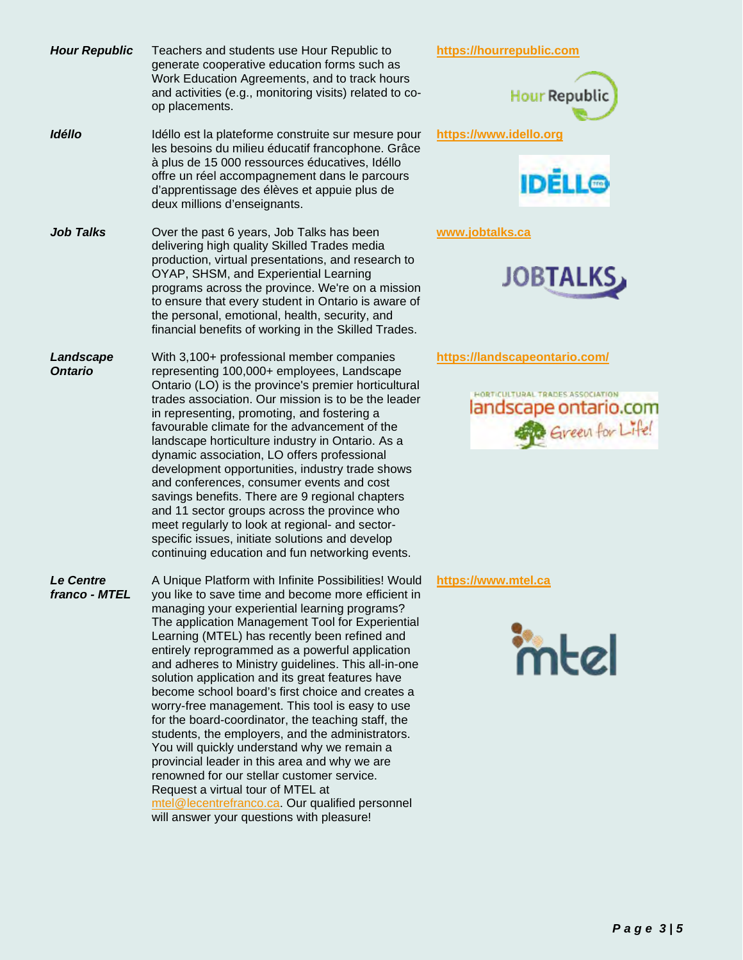*Hour Republic* Teachers and students use Hour Republic to **[https://hourrepublic.com](https://hourrepublic.com/)** generate cooperative education forms such as Work Education Agreements, and to track hours and activities (e.g., monitoring visits) related to co-**Hour Republic** op placements. *Idéllo* Idéllo est la plateforme construite sur mesure pour les besoins du milieu éducatif francophone. Grâce à plus de 15 000 ressources éducatives, Idéllo offre un réel accompagnement dans le parcours d'apprentissage des élèves et appuie plus de deux millions d'enseignants. **Job Talks** Over the past 6 years, Job Talks has been delivering high quality Skilled Trades media production, virtual presentations, and research to OYAP, SHSM, and Experiential Learning programs across the province. We're on a mission to ensure that every student in Ontario is aware of the personal, emotional, health, security, and financial benefits of working in the Skilled Trades. *Landscape*  With 3,100+ professional member companies *Ontario* representing 100,000+ employees, Landscape Ontario (LO) is the province's premier horticultural trades association. Our mission is to be the leader in representing, promoting, and fostering a favourable climate for the advancement of the landscape horticulture industry in Ontario. As a dynamic association, LO offers professional development opportunities, industry trade shows and conferences, consumer events and cost savings benefits. There are 9 regional chapters and 11 sector groups across the province who meet regularly to look at regional- and sectorspecific issues, initiate solutions and develop continuing education and fun networking events. A Unique Platform with Infinite Possibilities! Would *Le Centre franco - MTEL* you like to save time and become more efficient in managing your experiential learning programs? The application Management Tool for Experiential Learning (MTEL) has recently been refined and entirely reprogrammed as a powerful application and adheres to Ministry guidelines. This all-in-one solution application and its great features have become school board's first choice and creates a worry-free management. This tool is easy to use for the board-coordinator, the teaching staff, the students, the employers, and the administrators. You will quickly understand why we remain a provincial leader in this area and why we are renowned for our stellar customer service.

Request a virtual tour of MTEL at [mtel@lecentrefranco.ca.](mailto:mtel@lecentrefranco.ca) Our qualified personnel will answer your questions with pleasure!

# **[https://www.idello.org](https://www.idello.org/) IDELL®**

**[www.jobtalks.ca](http://www.jobtalks.ca/)**



**<https://landscapeontario.com/>**



**[https://www.mtel.ca](https://www.mtel.ca/)**

intel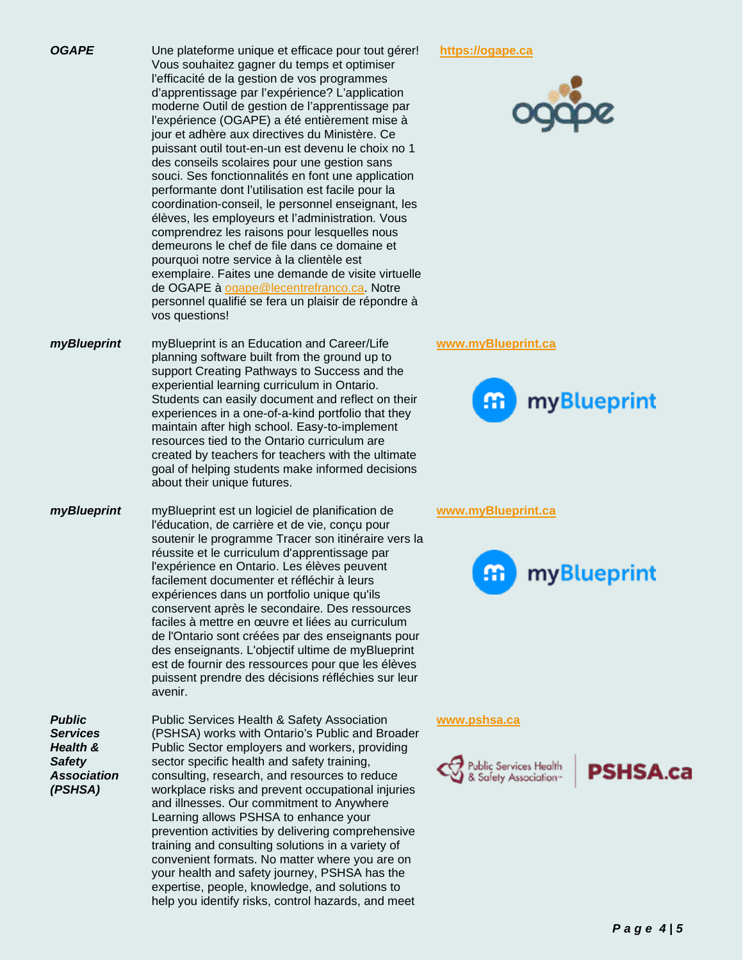*OGAPE* Une plateforme unique et efficace pour tout gérer! Vous souhaitez gagner du temps et optimiser l'efficacité de la gestion de vos programmes d'apprentissage par l'expérience? L'application moderne Outil de gestion de l'apprentissage par l'expérience (OGAPE) a été entièrement mise à jour et adhère aux directives du Ministère. Ce puissant outil tout-en-un est devenu le choix no 1 des conseils scolaires pour une gestion sans souci. Ses fonctionnalités en font une application performante dont l'utilisation est facile pour la coordination-conseil, le personnel enseignant, les élèves, les employeurs et l'administration. Vous comprendrez les raisons pour lesquelles nous demeurons le chef de file dans ce domaine et pourquoi notre service à la clientèle est exemplaire. Faites une demande de visite virtuelle de OGAPE à [ogape@lecentrefranco.ca.](mailto:ogape@lecentrefranco.ca) Notre personnel qualifié se fera un plaisir de répondre à vos questions!

- *myBlueprint* myBlueprint is an Education and Career/Life planning software built from the ground up to support Creating Pathways to Success and the experiential learning curriculum in Ontario. Students can easily document and reflect on their experiences in a one-of-a-kind portfolio that they maintain after high school. Easy-to-implement resources tied to the Ontario curriculum are created by teachers for teachers with the ultimate goal of helping students make informed decisions about their unique futures.
- *myBlueprint* myBlueprint est un logiciel de planification de l'éducation, de carrière et de vie, conçu pour soutenir le programme Tracer son itinéraire vers la réussite et le curriculum d'apprentissage par l'expérience en Ontario. Les élèves peuvent facilement documenter et réfléchir à leurs expériences dans un portfolio unique qu'ils conservent après le secondaire. Des ressources faciles à mettre en œuvre et liées au curriculum de l'Ontario sont créées par des enseignants pour des enseignants. L'objectif ultime de myBlueprint est de fournir des ressources pour que les élèves puissent prendre des décisions réfléchies sur leur avenir.

*Public Services Health & Safety Association (PSHSA)*

Public Services Health & Safety Association (PSHSA) works with Ontario's Public and Broader Public Sector employers and workers, providing sector specific health and safety training, consulting, research, and resources to reduce workplace risks and prevent occupational injuries and illnesses. Our commitment to Anywhere Learning allows PSHSA to enhance your prevention activities by delivering comprehensive training and consulting solutions in a variety of convenient formats. No matter where you are on your health and safety journey, PSHSA has the expertise, people, knowledge, and solutions to help you identify risks, control hazards, and meet

### **[https://ogape.ca](https://ogape.ca/)**



**[www.myBlueprint.ca](http://www.myblueprint.ca/)**



**[www.myBlueprint.ca](http://www.myblueprint.ca/)**



#### **[www.pshsa.ca](http://www.pshsa.ca/)**